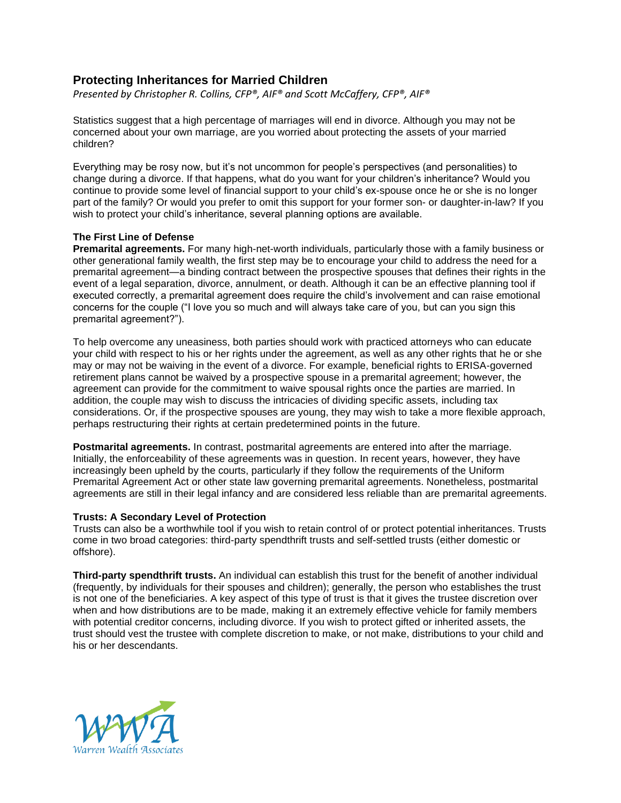# **Protecting Inheritances for Married Children**

*Presented by Christopher R. Collins, CFP®, AIF® and Scott McCaffery, CFP®, AIF®*

Statistics suggest that a high percentage of marriages will end in divorce. Although you may not be concerned about your own marriage, are you worried about protecting the assets of your married children?

Everything may be rosy now, but it's not uncommon for people's perspectives (and personalities) to change during a divorce. If that happens, what do you want for your children's inheritance? Would you continue to provide some level of financial support to your child's ex-spouse once he or she is no longer part of the family? Or would you prefer to omit this support for your former son- or daughter-in-law? If you wish to protect your child's inheritance, several planning options are available.

# **The First Line of Defense**

**Premarital agreements.** For many high-net-worth individuals, particularly those with a family business or other generational family wealth, the first step may be to encourage your child to address the need for a premarital agreement—a binding contract between the prospective spouses that defines their rights in the event of a legal separation, divorce, annulment, or death. Although it can be an effective planning tool if executed correctly, a premarital agreement does require the child's involvement and can raise emotional concerns for the couple ("I love you so much and will always take care of you, but can you sign this premarital agreement?").

To help overcome any uneasiness, both parties should work with practiced attorneys who can educate your child with respect to his or her rights under the agreement, as well as any other rights that he or she may or may not be waiving in the event of a divorce. For example, beneficial rights to ERISA-governed retirement plans cannot be waived by a prospective spouse in a premarital agreement; however, the agreement can provide for the commitment to waive spousal rights once the parties are married. In addition, the couple may wish to discuss the intricacies of dividing specific assets, including tax considerations. Or, if the prospective spouses are young, they may wish to take a more flexible approach, perhaps restructuring their rights at certain predetermined points in the future.

**Postmarital agreements.** In contrast, postmarital agreements are entered into after the marriage. Initially, the enforceability of these agreements was in question. In recent years, however, they have increasingly been upheld by the courts, particularly if they follow the requirements of the Uniform Premarital Agreement Act or other state law governing premarital agreements. Nonetheless, postmarital agreements are still in their legal infancy and are considered less reliable than are premarital agreements.

### **Trusts: A Secondary Level of Protection**

Trusts can also be a worthwhile tool if you wish to retain control of or protect potential inheritances. Trusts come in two broad categories: third-party spendthrift trusts and self-settled trusts (either domestic or offshore).

**Third-party spendthrift trusts.** An individual can establish this trust for the benefit of another individual (frequently, by individuals for their spouses and children); generally, the person who establishes the trust is not one of the beneficiaries. A key aspect of this type of trust is that it gives the trustee discretion over when and how distributions are to be made, making it an extremely effective vehicle for family members with potential creditor concerns, including divorce. If you wish to protect gifted or inherited assets, the trust should vest the trustee with complete discretion to make, or not make, distributions to your child and his or her descendants.

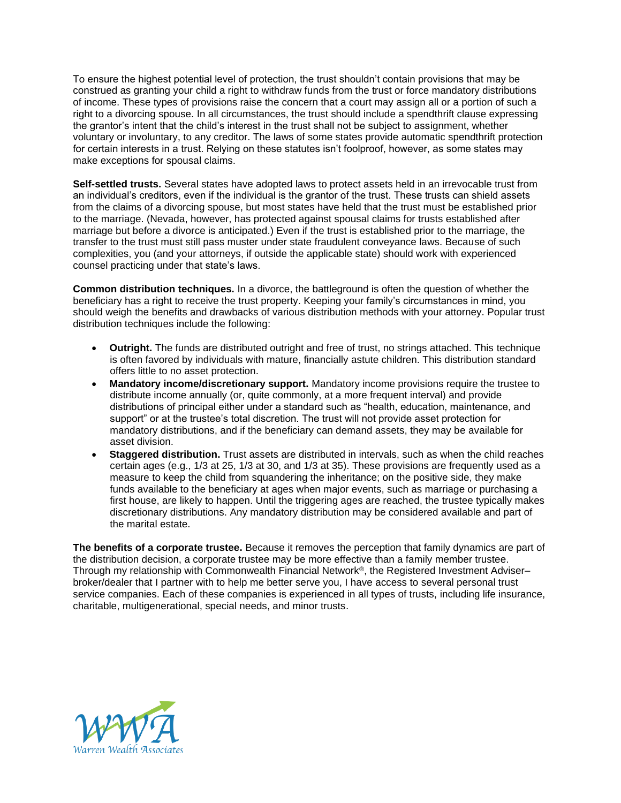To ensure the highest potential level of protection, the trust shouldn't contain provisions that may be construed as granting your child a right to withdraw funds from the trust or force mandatory distributions of income. These types of provisions raise the concern that a court may assign all or a portion of such a right to a divorcing spouse. In all circumstances, the trust should include a spendthrift clause expressing the grantor's intent that the child's interest in the trust shall not be subject to assignment, whether voluntary or involuntary, to any creditor. The laws of some states provide automatic spendthrift protection for certain interests in a trust. Relying on these statutes isn't foolproof, however, as some states may make exceptions for spousal claims.

**Self-settled trusts.** Several states have adopted laws to protect assets held in an irrevocable trust from an individual's creditors, even if the individual is the grantor of the trust. These trusts can shield assets from the claims of a divorcing spouse, but most states have held that the trust must be established prior to the marriage. (Nevada, however, has protected against spousal claims for trusts established after marriage but before a divorce is anticipated.) Even if the trust is established prior to the marriage, the transfer to the trust must still pass muster under state fraudulent conveyance laws. Because of such complexities, you (and your attorneys, if outside the applicable state) should work with experienced counsel practicing under that state's laws.

**Common distribution techniques.** In a divorce, the battleground is often the question of whether the beneficiary has a right to receive the trust property. Keeping your family's circumstances in mind, you should weigh the benefits and drawbacks of various distribution methods with your attorney. Popular trust distribution techniques include the following:

- **Outright.** The funds are distributed outright and free of trust, no strings attached. This technique is often favored by individuals with mature, financially astute children. This distribution standard offers little to no asset protection.
- **Mandatory income/discretionary support.** Mandatory income provisions require the trustee to distribute income annually (or, quite commonly, at a more frequent interval) and provide distributions of principal either under a standard such as "health, education, maintenance, and support" or at the trustee's total discretion. The trust will not provide asset protection for mandatory distributions, and if the beneficiary can demand assets, they may be available for asset division.
- **Staggered distribution.** Trust assets are distributed in intervals, such as when the child reaches certain ages (e.g., 1/3 at 25, 1/3 at 30, and 1/3 at 35). These provisions are frequently used as a measure to keep the child from squandering the inheritance; on the positive side, they make funds available to the beneficiary at ages when major events, such as marriage or purchasing a first house, are likely to happen. Until the triggering ages are reached, the trustee typically makes discretionary distributions. Any mandatory distribution may be considered available and part of the marital estate.

**The benefits of a corporate trustee.** Because it removes the perception that family dynamics are part of the distribution decision, a corporate trustee may be more effective than a family member trustee. Through my relationship with Commonwealth Financial Network®, the Registered Investment Adviser– broker/dealer that I partner with to help me better serve you, I have access to several personal trust service companies. Each of these companies is experienced in all types of trusts, including life insurance, charitable, multigenerational, special needs, and minor trusts.